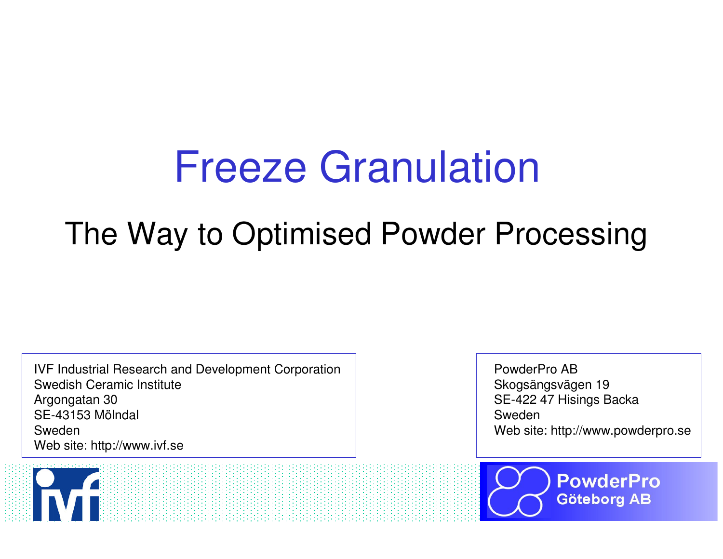# Freeze Granulation

# The Way to Optimised Powder Processing

IVF Industrial Research and Development CorporationSwedish Ceramic InstituteArgongatan 30 SE-43153 MölndalSwedenWeb site: http://www.ivf.se

PowderPro AB Skogsängsvägen 19 SE-422 47 Hisings BackaSwedenWeb site: http://www.powderpro.se



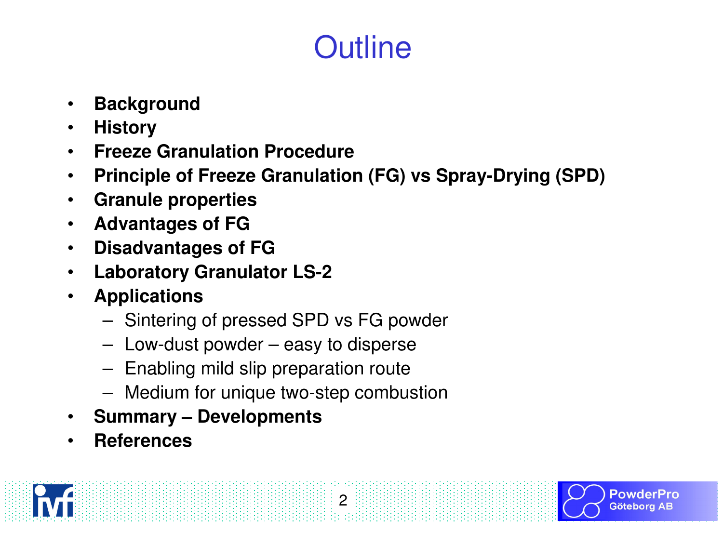# **Outline**

- $\bullet$ **Background**
- $\bullet$ **History**
- **Freeze Granulation Procedure**•
- **Principle of Freeze Granulation (FG) vs Spray-Drying (SPD)**  $\bullet$

- $\bullet$ **Granule properties**
- **Advantages of FG** $\bullet$
- **Disadvantages of FG** $\bullet$
- **Laboratory Granulator LS-2** $\bullet$
- $\bullet$  **Applications**
	- –Sintering of pressed SPD vs FG powder
	- –Low-dust powder – easy to disperse
	- –Enabling mild slip preparation route
	- Medium for unique two-step combustion
- $\bullet$ **Summary – Developments**
- •**References**

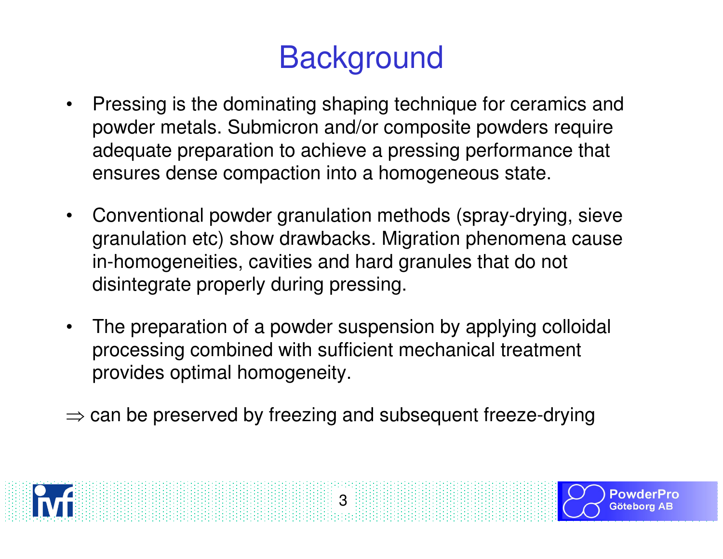# **Background**

- • Pressing is the dominating shaping technique for ceramics and powder metals. Submicron and/or composite powders require adequate preparation to achieve a pressing performance that ensures dense compaction into a homogeneous state.
- • Conventional powder granulation methods (spray-drying, sieve granulation etc) show drawbacks. Migration phenomena cause in-homogeneities, cavities and hard granules that do not disintegrate properly during pressing.
- • The preparation of a powder suspension by applying colloidal processing combined with sufficient mechanical treatment provides optimal homogeneity.
- $\Rightarrow$  can be preserved by freezing and subsequent freeze-drying

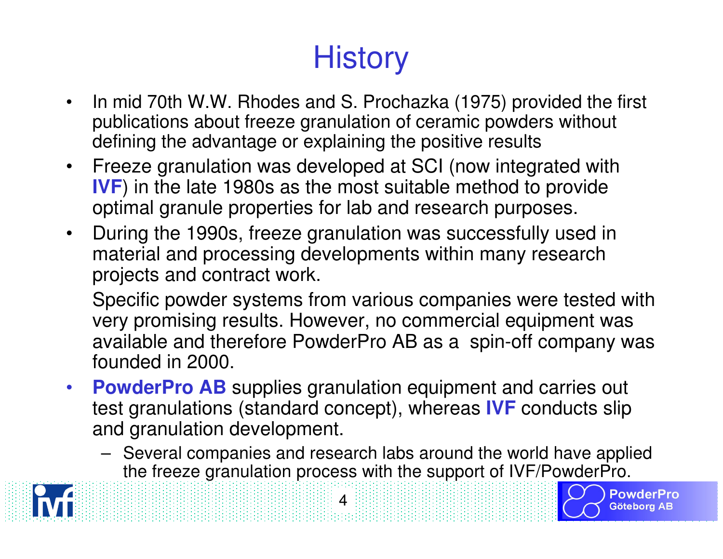# **History**

- • In mid 70th W.W. Rhodes and S. Prochazka (1975) provided the first publications about freeze granulation of ceramic powders withoutdefining the advantage or explaining the positive results
- • Freeze granulation was developed at SCI (now integrated with **IVF**) in the late 1980s as the most suitable method to provide optimal granule properties for lab and research purposes.
- • During the 1990s, freeze granulation was successfully used in material and processing developments within many research projects and contract work.

Specific powder systems from various companies were tested with very promising results. However, no commercial equipment was available and therefore PowderPro AB as a spin-off company was founded in 2000.

•**PowderPro AB** supplies granulation equipment and carries out<br> **Post grapulations (standard concept)** whereas **N/E** conducts elip test granulations (standard concept), whereas **IVF** conducts slip and granulation development.

4

 Several companies and research labs around the world have applied the freeze granulation process with the support of IVF/PowderPro.

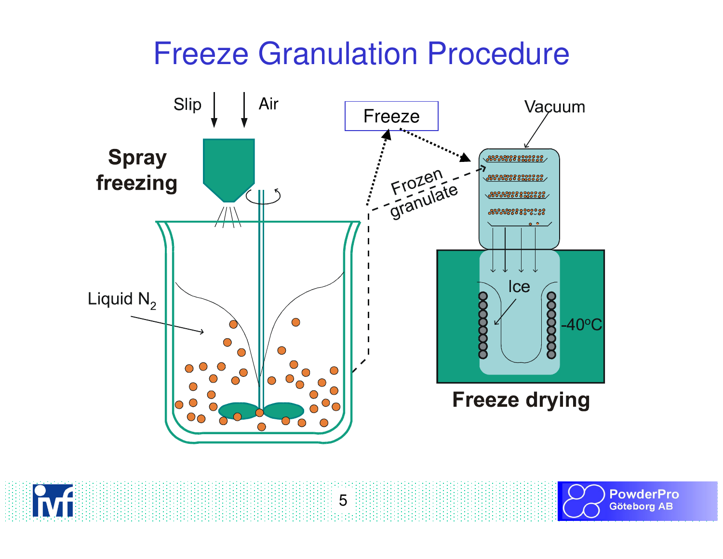# Freeze Granulation Procedure



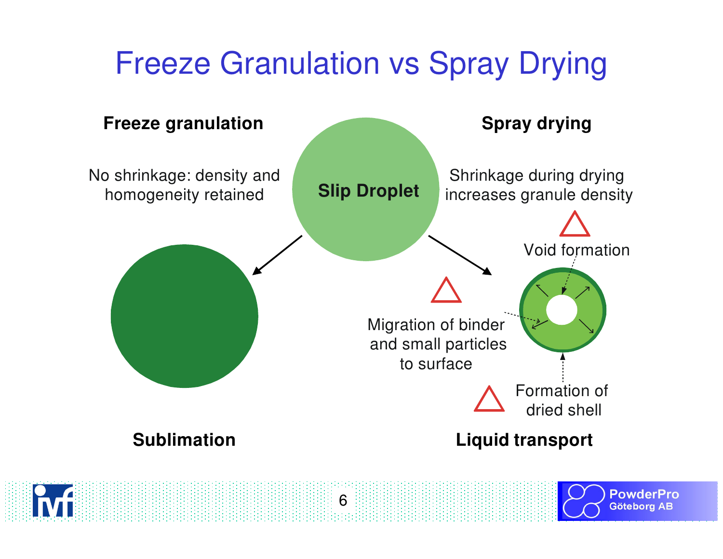# Freeze Granulation vs Spray Drying

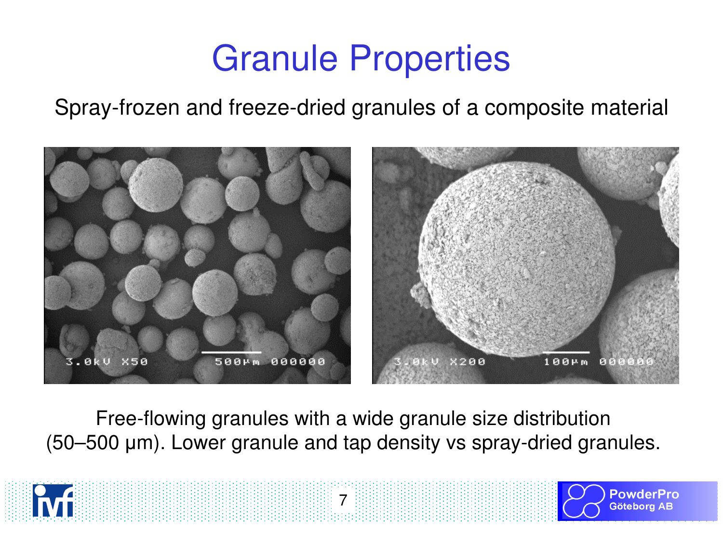# Granule Properties

Spray-frozen and freeze-dried granules of a composite material



Free-flowing granules with a wide granule size distribution(50–500 µm). Lower granule and tap density vs spray-dried granules.





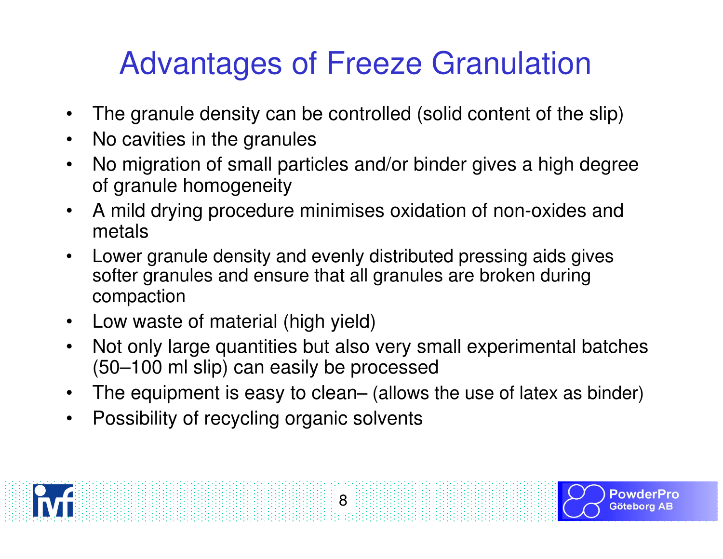# Advantages of Freeze Granulation

- •The granule density can be controlled (solid content of the slip)
- $\bullet$ No cavities in the granules
- No migration of small particles and/or binder gives a high degree •of granule homogeneity
- A mild drying procedure minimises oxidation of non-oxides and  $\bullet$ metals
- Lower granule density and evenly distributed pressing aids gives•softer granules and ensure that all granules are broken during compaction
- Low waste of material (high yield)
- • Not only large quantities but also very small experimental batches(50–100 ml slip) can easily be processed
- The equipment is easy to clean– (allows the use of latex as binder) $\bullet$
- $\bullet$ Possibility of recycling organic solvents

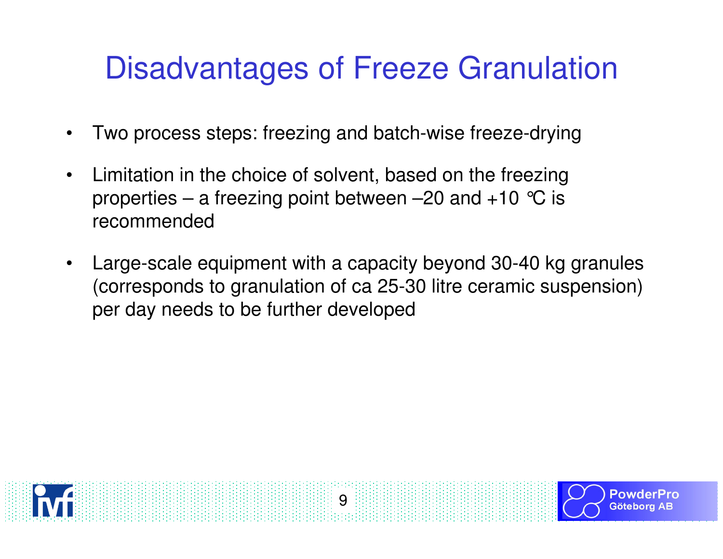# Disadvantages of Freeze Granulation

- •Two process steps: freezing and batch-wise freeze-drying
- • Limitation in the choice of solvent, based on the freezing properties – a freezing point between –20 and  $+10$  °C is recommended
- • Large-scale equipment with a capacity beyond 30-40 kg granules (corresponds to granulation of ca 25-30 litre ceramic suspension) per day needs to be further developed

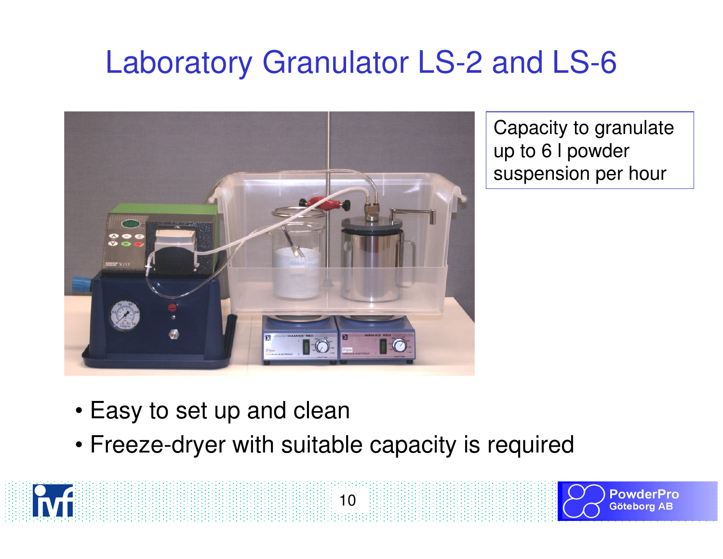# Laboratory Granulator LS-2 and LS-6



Capacity to granulate up to 6 l powder suspension per hour

> PowderPro **Göteborg AB**

- Easy to set up and clean
- Freeze-dryer with suitable capacity is required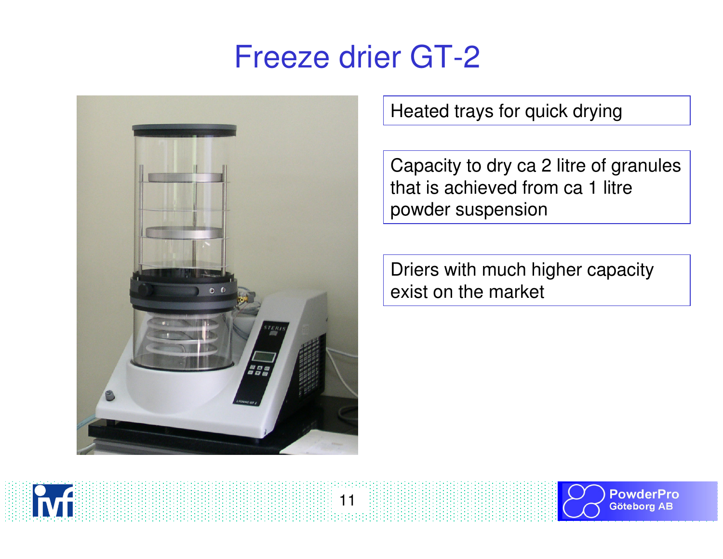## Freeze drier GT-2

11



Heated trays for quick drying

Capacity to dry ca 2 litre of granules that is achieved from ca 1 litre powder suspension

Driers with much higher capacity exist on the market



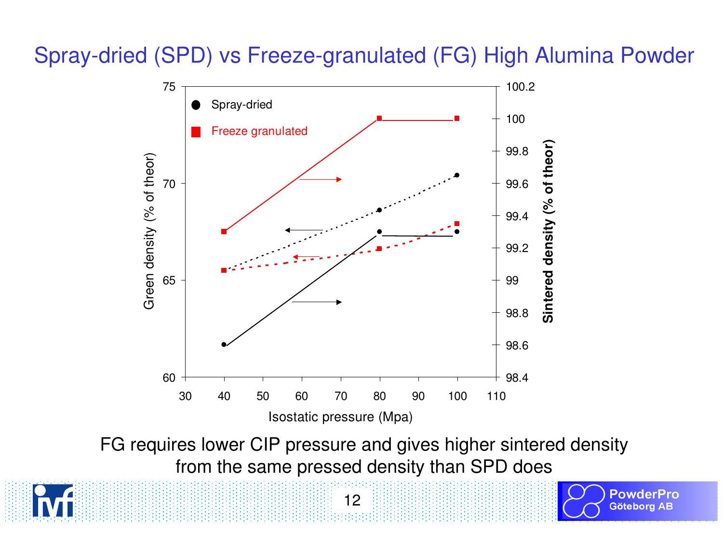#### Spray-dried (SPD) vs Freeze-granulated (FG) High Alumina Powder



FG requires lower CIP pressure and gives higher sintered densityfrom the same pressed density than SPD does

> **PowderPro** Götebora AB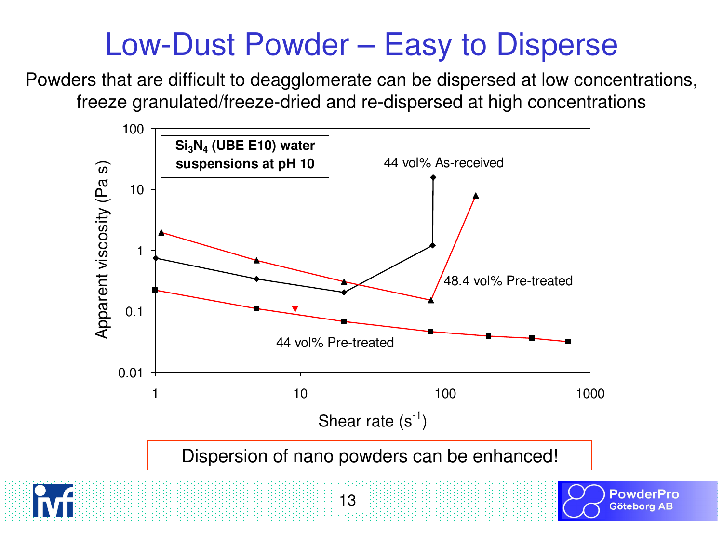# Low-Dust Powder – Easy to Disperse

Powders that are difficult to deagglomerate can be dispersed at low concentrations, freeze granulated/freeze-dried and re-dispersed at high concentrations

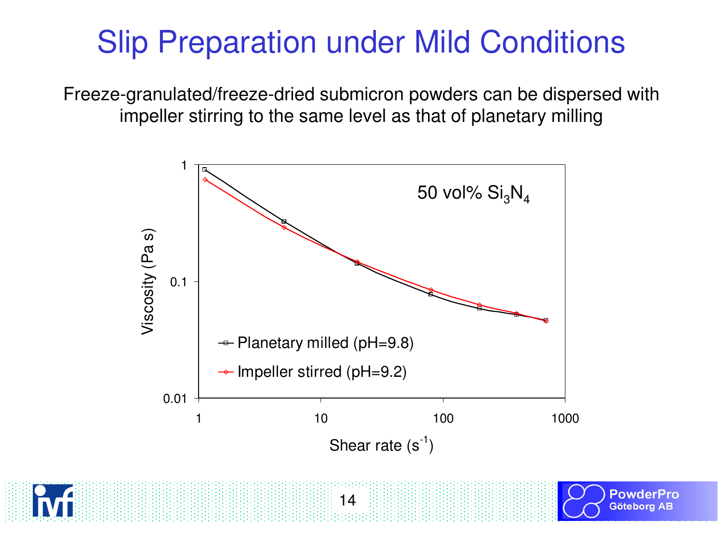# Slip Preparation under Mild Conditions

Freeze-granulated/freeze-dried submicron powders can be dispersed with impeller stirring to the same level as that of planetary milling



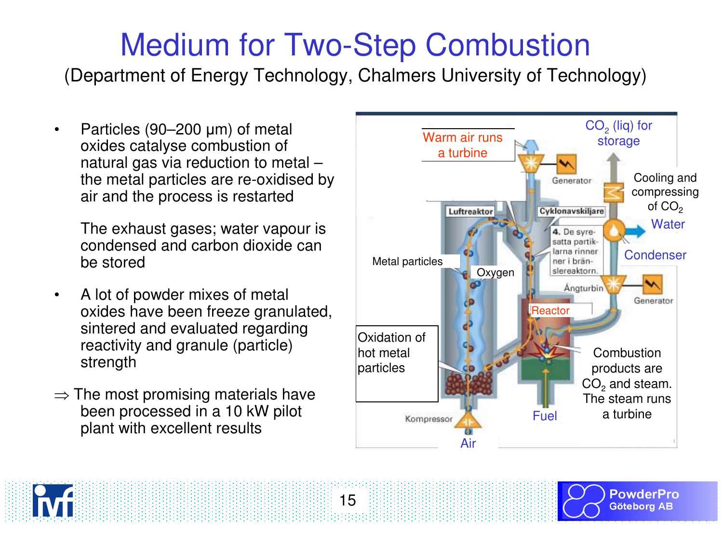# Medium for Two-Step Combustion

(Department of Energy Technology, Chalmers University of Technology)

15

•Particles (90–200 µm) of metal oxides catalyse combustion of natural gas via reduction to metal – the metal particles are re-oxidised by air and the process is restarted

The exhaust gases; water vapour is condensed and carbon dioxide can be stored

- • A lot of powder mixes of metal oxides have been freeze granulated, sintered and evaluated regarding reactivity and granule (particle) strength
- $\Rightarrow$  The most promising materials have<br>been processed in a 10 kW pilot been processed in a 10 kW pilot plant with excellent results







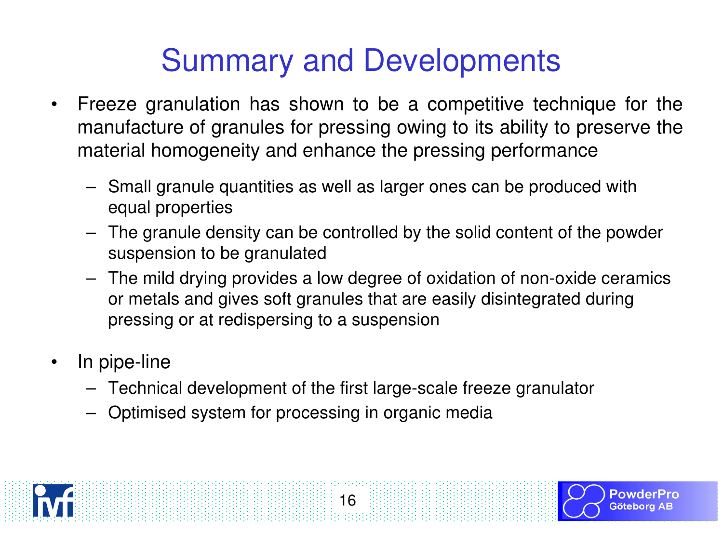# Summary and Developments

- $\bullet$  Freeze granulation has shown to be a competitive technique for the manufacture of granules for pressing owing to its ability to preserve the material homogeneity and enhance the pressing performance
	- Small granule quantities as well as larger ones can be produced with equal properties
	- The granule density can be controlled by the solid content of the powder suspension to be granulated
	- The mild drying provides a low degree of oxidation of non-oxide ceramics or metals and gives soft granules that are easily disintegrated during pressing or at redispersing to a suspension
- $\bullet$  In pipe-line
	- Technical development of the first large-scale freeze granulator
	- Optimised system for processing in organic media